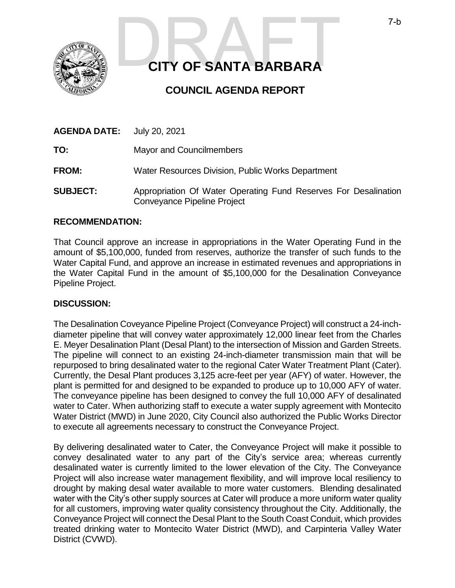

# **CITY OF SANTA BARBARA** T-b

## **COUNCIL AGENDA REPORT**

| <b>AGENDA DATE:</b> | July 20, 2021                                                                                  |
|---------------------|------------------------------------------------------------------------------------------------|
| TO:                 | <b>Mayor and Councilmembers</b>                                                                |
| <b>FROM:</b>        | Water Resources Division, Public Works Department                                              |
| <b>SUBJECT:</b>     | Appropriation Of Water Operating Fund Reserves For Desalination<br>Conveyance Pipeline Project |

#### **RECOMMENDATION:**

That Council approve an increase in appropriations in the Water Operating Fund in the amount of \$5,100,000, funded from reserves, authorize the transfer of such funds to the Water Capital Fund, and approve an increase in estimated revenues and appropriations in the Water Capital Fund in the amount of \$5,100,000 for the Desalination Conveyance Pipeline Project.

#### **DISCUSSION:**

The Desalination Coveyance Pipeline Project (Conveyance Project) will construct a 24-inchdiameter pipeline that will convey water approximately 12,000 linear feet from the Charles E. Meyer Desalination Plant (Desal Plant) to the intersection of Mission and Garden Streets. The pipeline will connect to an existing 24-inch-diameter transmission main that will be repurposed to bring desalinated water to the regional Cater Water Treatment Plant (Cater). Currently, the Desal Plant produces 3,125 acre-feet per year (AFY) of water. However, the plant is permitted for and designed to be expanded to produce up to 10,000 AFY of water. The conveyance pipeline has been designed to convey the full 10,000 AFY of desalinated water to Cater. When authorizing staff to execute a water supply agreement with Montecito Water District (MWD) in June 2020, City Council also authorized the Public Works Director to execute all agreements necessary to construct the Conveyance Project.

By delivering desalinated water to Cater, the Conveyance Project will make it possible to convey desalinated water to any part of the City's service area; whereas currently desalinated water is currently limited to the lower elevation of the City. The Conveyance Project will also increase water management flexibility, and will improve local resiliency to drought by making desal water available to more water customers. Blending desalinated water with the City's other supply sources at Cater will produce a more uniform water quality for all customers, improving water quality consistency throughout the City. Additionally, the Conveyance Project will connect the Desal Plant to the South Coast Conduit, which provides treated drinking water to Montecito Water District (MWD), and Carpinteria Valley Water District (CVWD).